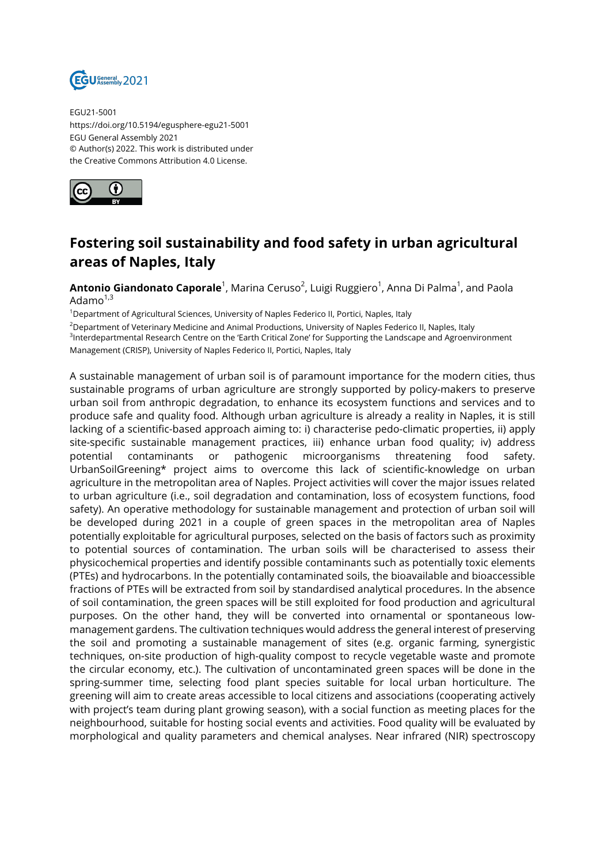

EGU21-5001 https://doi.org/10.5194/egusphere-egu21-5001 EGU General Assembly 2021 © Author(s) 2022. This work is distributed under the Creative Commons Attribution 4.0 License.



## **Fostering soil sustainability and food safety in urban agricultural areas of Naples, Italy**

**Antonio Giandonato Caporale**<sup>1</sup>, Marina Ceruso<sup>2</sup>, Luigi Ruggiero<sup>1</sup>, Anna Di Palma<sup>1</sup>, and Paola Adamo $1,3$ 

<sup>1</sup>Department of Agricultural Sciences, University of Naples Federico II, Portici, Naples, Italy

<sup>2</sup>Department of Veterinary Medicine and Animal Productions, University of Naples Federico II, Naples, Italy

3 Interdepartmental Research Centre on the 'Earth Critical Zone' for Supporting the Landscape and Agroenvironment Management (CRISP), University of Naples Federico II, Portici, Naples, Italy

A sustainable management of urban soil is of paramount importance for the modern cities, thus sustainable programs of urban agriculture are strongly supported by policy-makers to preserve urban soil from anthropic degradation, to enhance its ecosystem functions and services and to produce safe and quality food. Although urban agriculture is already a reality in Naples, it is still lacking of a scientific-based approach aiming to: i) characterise pedo-climatic properties, ii) apply site-specific sustainable management practices, iii) enhance urban food quality; iv) address potential contaminants or pathogenic microorganisms threatening food safety. UrbanSoilGreening\* project aims to overcome this lack of scientific-knowledge on urban agriculture in the metropolitan area of Naples. Project activities will cover the major issues related to urban agriculture (i.e., soil degradation and contamination, loss of ecosystem functions, food safety). An operative methodology for sustainable management and protection of urban soil will be developed during 2021 in a couple of green spaces in the metropolitan area of Naples potentially exploitable for agricultural purposes, selected on the basis of factors such as proximity to potential sources of contamination. The urban soils will be characterised to assess their physicochemical properties and identify possible contaminants such as potentially toxic elements (PTEs) and hydrocarbons. In the potentially contaminated soils, the bioavailable and bioaccessible fractions of PTEs will be extracted from soil by standardised analytical procedures. In the absence of soil contamination, the green spaces will be still exploited for food production and agricultural purposes. On the other hand, they will be converted into ornamental or spontaneous lowmanagement gardens. The cultivation techniques would address the general interest of preserving the soil and promoting a sustainable management of sites (e.g. organic farming, synergistic techniques, on-site production of high-quality compost to recycle vegetable waste and promote the circular economy, etc.). The cultivation of uncontaminated green spaces will be done in the spring-summer time, selecting food plant species suitable for local urban horticulture. The greening will aim to create areas accessible to local citizens and associations (cooperating actively with project's team during plant growing season), with a social function as meeting places for the neighbourhood, suitable for hosting social events and activities. Food quality will be evaluated by morphological and quality parameters and chemical analyses. Near infrared (NIR) spectroscopy